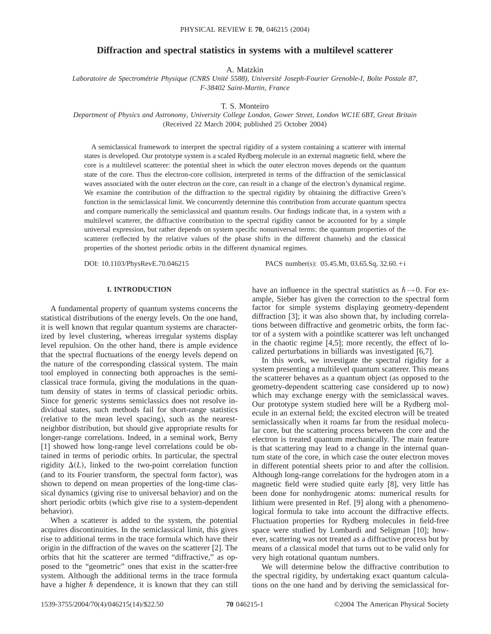# **Diffraction and spectral statistics in systems with a multilevel scatterer**

A. Matzkin

*Laboratoire de Spectrométrie Physique (CNRS Unité 5588), Université Joseph-Fourier Grenoble-I, Boîte Postale 87, F-38402 Saint-Martin, France*

T. S. Monteiro

*Department of Physics and Astronomy, University College London, Gower Street, London WC1E 6BT, Great Britain* (Received 22 March 2004; published 25 October 2004)

A semiclassical framework to interpret the spectral rigidity of a system containing a scatterer with internal states is developed. Our prototype system is a scaled Rydberg molecule in an external magnetic field, where the core is a multilevel scatterer: the potential sheet in which the outer electron moves depends on the quantum state of the core. Thus the electron-core collision, interpreted in terms of the diffraction of the semiclassical waves associated with the outer electron on the core, can result in a change of the electron's dynamical regime. We examine the contribution of the diffraction to the spectral rigidity by obtaining the diffractive Green's function in the semiclassical limit. We concurrently determine this contribution from accurate quantum spectra and compare numerically the semiclassical and quantum results. Our findings indicate that, in a system with a multilevel scatterer, the diffractive contribution to the spectral rigidity cannot be accounted for by a simple universal expression, but rather depends on system specific nonuniversal terms: the quantum properties of the scatterer (reflected by the relative values of the phase shifts in the different channels) and the classical properties of the shortest periodic orbits in the different dynamical regimes.

DOI: 10.1103/PhysRevE.70.046215 PACS number(s): 05.45.Mt, 03.65.Sq, 32.60.+i

## **I. INTRODUCTION**

A fundamental property of quantum systems concerns the statistical distributions of the energy levels. On the one hand, it is well known that regular quantum systems are characterized by level clustering, whereas irregular systems display level repulsion. On the other hand, there is ample evidence that the spectral fluctuations of the energy levels depend on the nature of the corresponding classical system. The main tool employed in connecting both approaches is the semiclassical trace formula, giving the modulations in the quantum density of states in terms of classical periodic orbits. Since for generic systems semiclassics does not resolve individual states, such methods fail for short-range statistics (relative to the mean level spacing), such as the nearestneighbor distribution, but should give appropriate results for longer-range correlations. Indeed, in a seminal work, Berry [1] showed how long-range level correlations could be obtained in terms of periodic orbits. In particular, the spectral rigidity  $\Delta(L)$ , linked to the two-point correlation function (and to its Fourier transform, the spectral form factor), was shown to depend on mean properties of the long-time classical dynamics (giving rise to universal behavior) and on the short periodic orbits (which give rise to a system-dependent behavior).

When a scatterer is added to the system, the potential acquires discontinuities. In the semiclassical limit, this gives rise to additional terms in the trace formula which have their origin in the diffraction of the waves on the scatterer [2]. The orbits that hit the scatterer are termed "diffractive," as opposed to the "geometric" ones that exist in the scatter-free system. Although the additional terms in the trace formula have a higher  $\hbar$  dependence, it is known that they can still have an influence in the spectral statistics as  $\hbar \rightarrow 0$ . For example, Sieber has given the correction to the spectral form factor for simple systems displaying geometry-dependent diffraction [3]; it was also shown that, by including correlations between diffractive and geometric orbits, the form factor of a system with a pointlike scatterer was left unchanged in the chaotic regime [4,5]; more recently, the effect of localized perturbations in billiards was investigated [6,7].

In this work, we investigate the spectral rigidity for a system presenting a multilevel quantum scatterer. This means the scatterer behaves as a quantum object (as opposed to the geometry-dependent scattering case considered up to now) which may exchange energy with the semiclassical waves. Our prototype system studied here will be a Rydberg molecule in an external field; the excited electron will be treated semiclassically when it roams far from the residual molecular core, but the scattering process between the core and the electron is treated quantum mechanically. The main feature is that scattering may lead to a change in the internal quantum state of the core, in which case the outer electron moves in different potential sheets prior to and after the collision. Although long-range correlations for the hydrogen atom in a magnetic field were studied quite early [8], very little has been done for nonhydrogenic atoms: numerical results for lithium were presented in Ref. [9] along with a phenomenological formula to take into account the diffractive effects. Fluctuation properties for Rydberg molecules in field-free space were studied by Lombardi and Seligman [10]; however, scattering was not treated as a diffractive process but by means of a classical model that turns out to be valid only for very high rotational quantum numbers.

We will determine below the diffractive contribution to the spectral rigidity, by undertaking exact quantum calculations on the one hand and by deriving the semiclassical for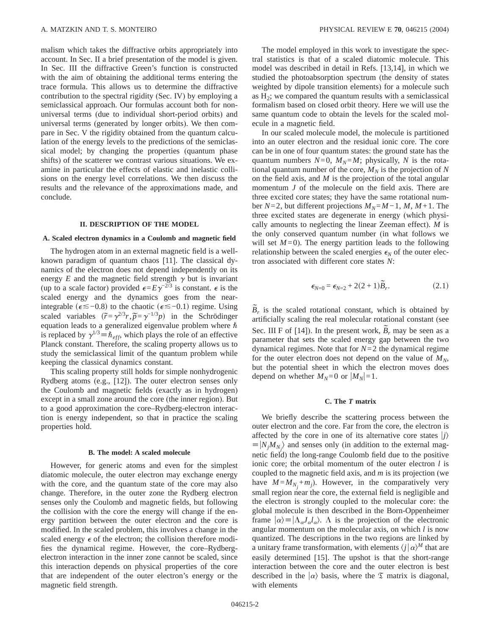malism which takes the diffractive orbits appropriately into account. In Sec. II a brief presentation of the model is given. In Sec. III the diffractive Green's function is constructed with the aim of obtaining the additional terms entering the trace formula. This allows us to determine the diffractive contribution to the spectral rigidity (Sec. IV) by employing a semiclassical approach. Our formulas account both for nonuniversal terms (due to individual short-period orbits) and universal terms (generated by longer orbits). We then compare in Sec. V the rigidity obtained from the quantum calculation of the energy levels to the predictions of the semiclassical model; by changing the properties (quantum phase shifts) of the scatterer we contrast various situations. We examine in particular the effects of elastic and inelastic collisions on the energy level correlations. We then discuss the results and the relevance of the approximations made, and conclude.

## **II. DESCRIPTION OF THE MODEL**

### **A. Scaled electron dynamics in a Coulomb and magnetic field**

The hydrogen atom in an external magnetic field is a wellknown paradigm of quantum chaos [11]. The classical dynamics of the electron does not depend independently on its energy  $E$  and the magnetic field strength  $\gamma$  but is invariant (up to a scale factor) provided  $\epsilon = E\gamma^{-2/3}$  is constant.  $\epsilon$  is the scaled energy and the dynamics goes from the nearintegrable ( $\epsilon \leq -0.8$ ) to the chaotic ( $\epsilon \leq -0.1$ ) regime. Using scaled variables  $(\tilde{r}=\gamma^{2/3}r,\tilde{p}=\gamma^{-1/3}p)$  in the Schrödinger equation leads to a generalized eigenvalue problem where  $\hbar$ is replaced by  $\gamma^{1/3} = \hbar_{eff}$ , which plays the role of an effective Planck constant. Therefore, the scaling property allows us to study the semiclassical limit of the quantum problem while keeping the classical dynamics constant.

This scaling property still holds for simple nonhydrogenic Rydberg atoms (e.g., [12]). The outer electron senses only the Coulomb and magnetic fields (exactly as in hydrogen) except in a small zone around the core (the inner region). But to a good approximation the core–Rydberg-electron interaction is energy independent, so that in practice the scaling properties hold.

## **B. The model: A scaled molecule**

However, for generic atoms and even for the simplest diatomic molecule, the outer electron may exchange energy with the core, and the quantum state of the core may also change. Therefore, in the outer zone the Rydberg electron senses only the Coulomb and magnetic fields, but following the collision with the core the energy will change if the energy partition between the outer electron and the core is modified. In the scaled problem, this involves a change in the scaled energy  $\epsilon$  of the electron; the collision therefore modifies the dynamical regime. However, the core–Rydbergelectron interaction in the inner zone cannot be scaled, since this interaction depends on physical properties of the core that are independent of the outer electron's energy or the magnetic field strength.

The model employed in this work to investigate the spectral statistics is that of a scaled diatomic molecule. This model was described in detail in Refs. [13,14], in which we studied the photoabsorption spectrum (the density of states weighted by dipole transition elements) for a molecule such as  $H_2$ ; we compared the quantum results with a semiclassical formalism based on closed orbit theory. Here we will use the same quantum code to obtain the levels for the scaled molecule in a magnetic field.

In our scaled molecule model, the molecule is partitioned into an outer electron and the residual ionic core. The core can be in one of four quantum states: the ground state has the quantum numbers  $N=0$ ,  $M_N=M$ ; physically, N is the rotational quantum number of the core,  $M_N$  is the projection of N on the field axis, and *M* is the projection of the total angular momentum *J* of the molecule on the field axis. There are three excited core states; they have the same rotational number  $N=2$ , but different projections  $M_N=M-1$ ,  $M$ ,  $M+1$ . The three excited states are degenerate in energy (which physically amounts to neglecting the linear Zeeman effect). *M* is the only conserved quantum number (in what follows we will set  $M=0$ ). The energy partition leads to the following relationship between the scaled energies  $\epsilon_N$  of the outer electron associated with different core states *N*:

$$
\epsilon_{N=0} = \epsilon_{N=2} + 2(2+1)\widetilde{B}_r.
$$
 (2.1)

 $\tilde{B}_r$  is the scaled rotational constant, which is obtained by artificially scaling the real molecular rotational constant (see Sec. III F of [14]). In the present work,  $\tilde{B}_r$  may be seen as a parameter that sets the scaled energy gap between the two dynamical regimes. Note that for *N*=2 the dynamical regime for the outer electron does not depend on the value of  $M_N$ , but the potential sheet in which the electron moves does depend on whether  $M_N=0$  or  $|M_N|=1$ .

## **C. The** *T* **matrix**

We briefly describe the scattering process between the outer electron and the core. Far from the core, the electron is affected by the core in one of its alternative core states  $|j\rangle$  $\equiv$   $|N_j M_{N_j}$  and senses only (in addition to the external magnetic field) the long-range Coulomb field due to the positive ionic core; the orbital momentum of the outer electron *l* is coupled to the magnetic field axis, and *m* is its projection (we have  $M = M_{N_j} + m_j$ ). However, in the comparatively very small region near the core, the external field is negligible and the electron is strongly coupled to the molecular core: the global molecule is then described in the Born-Oppenheimer frame  $|\alpha\rangle = |\Lambda_{\alpha}J_{\alpha}l_{\alpha}\rangle$ . A is the projection of the electronic angular momentum on the molecular axis, on which *l* is now quantized. The descriptions in the two regions are linked by a unitary frame transformation, with elements  $\langle j | \alpha \rangle^M$  that are easily determined [15]. The upshot is that the short-range interaction between the core and the outer electron is best described in the  $|\alpha\rangle$  basis, where the  $\mathfrak T$  matrix is diagonal, with elements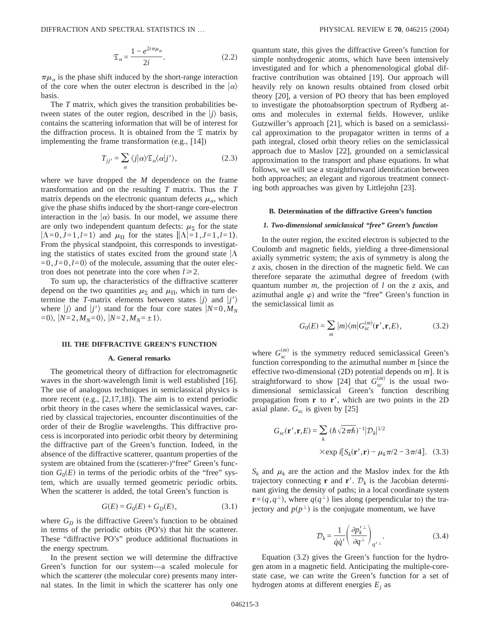$$
\mathfrak{T}_{\alpha} = \frac{1 - e^{2i\pi\mu_{\alpha}}}{2i}.
$$
\n(2.2)

 $\pi\mu_{\alpha}$  is the phase shift induced by the short-range interaction of the core when the outer electron is described in the  $|\alpha\rangle$ basis.

The *T* matrix, which gives the transition probabilities between states of the outer region, described in the  $|j\rangle$  basis, contains the scattering information that will be of interest for the diffraction process. It is obtained from the  $\mathfrak T$  matrix by implementing the frame transformation (e.g., [14])

$$
T_{jj'} = \sum_{\alpha} \langle j | \alpha \rangle \mathfrak{T}_{\alpha} \langle \alpha | j' \rangle, \qquad (2.3)
$$

where we have dropped the *M* dependence on the frame transformation and on the resulting *T* matrix. Thus the *T* matrix depends on the electronic quantum defects  $\mu_{\alpha}$ , which give the phase shifts induced by the short-range core-electron interaction in the  $|\alpha\rangle$  basis. In our model, we assume there are only two independent quantum defects:  $\mu_{\Sigma}$  for the state  $|\Lambda=0, J=1, l=1\rangle$  and  $\mu_{\text{II}}$  for the states  $||\Lambda|=1, J=1, l=1\rangle$ . From the physical standpoint, this corresponds to investigating the statistics of states excited from the ground state  $|\Lambda|$  $=0, J=0, l=0$  of the molecule, assuming that the outer electron does not penetrate into the core when  $l \ge 2$ .

To sum up, the characteristics of the diffractive scatterer depend on the two quantities  $\mu_{\Sigma}$  and  $\mu_{\Pi}$ , which in turn determine the *T*-matrix elements between states  $|i\rangle$  and  $|i'\rangle$ where  $|j\rangle$  and  $|j'\rangle$  stand for the four core states  $|N=0, M_N|$  $|N=2, M_N=0\rangle, |N=2, M_N=\pm 1\rangle.$ 

### **III. THE DIFFRACTIVE GREEN'S FUNCTION**

#### **A. General remarks**

The geometrical theory of diffraction for electromagnetic waves in the short-wavelength limit is well established [16]. The use of analogous techniques in semiclassical physics is more recent (e.g., [2,17,18]). The aim is to extend periodic orbit theory in the cases where the semiclassical waves, carried by classical trajectories, encounter discontinuities of the order of their de Broglie wavelengths. This diffractive process is incorporated into periodic orbit theory by determining the diffractive part of the Green's function. Indeed, in the absence of the diffractive scatterer, quantum properties of the system are obtained from the (scatterer-)"free" Green's function  $G_0(E)$  in terms of the periodic orbits of the "free" system, which are usually termed geometric periodic orbits. When the scatterer is added, the total Green's function is

$$
G(E) = G_0(E) + G_D(E), \tag{3.1}
$$

where  $G_D$  is the diffractive Green's function to be obtained in terms of the periodic orbits (PO's) that hit the scatterer. These "diffractive PO's" produce additional fluctuations in the energy spectrum.

In the present section we will determine the diffractive Green's function for our system—a scaled molecule for which the scatterer (the molecular core) presents many internal states. In the limit in which the scatterer has only one quantum state, this gives the diffractive Green's function for simple nonhydrogenic atoms, which have been intensively investigated and for which a phenomenological global diffractive contribution was obtained [19]. Our approach will heavily rely on known results obtained from closed orbit theory [20], a version of PO theory that has been employed to investigate the photoabsorption spectrum of Rydberg atoms and molecules in external fields. However, unlike Gutzwiller's approach [21], which is based on a semiclassical approximation to the propagator written in terms of a path integral, closed orbit theory relies on the semiclassical approach due to Maslov [22], grounded on a semiclassical approximation to the transport and phase equations. In what follows, we will use a straightforward identification between both approaches; an elegant and rigorous treatment connecting both approaches was given by Littlejohn [23].

## **B. Determination of the diffractive Green's function**

## *1. Two-dimensional semiclassical "free" Green's function*

In the outer region, the excited electron is subjected to the Coulomb and magnetic fields, yielding a three-dimensional axially symmetric system; the axis of symmetry is along the *z* axis, chosen in the direction of the magnetic field. We can therefore separate the azimuthal degree of freedom (with quantum number *m*, the projection of *l* on the *z* axis, and azimuthal angle  $\varphi$ ) and write the "free" Green's function in the semiclassical limit as

$$
G_0(E) = \sum_m |m\rangle\langle m| G_{sc}^{(m)}(\mathbf{r}', \mathbf{r}, E), \qquad (3.2)
$$

where  $G_{sc}^{(m)}$  is the symmetry reduced semiclassical Green's function corresponding to the azimuthal number *m* [since the effective two-dimensional (2D) potential depends on *m*]. It is straightforward to show [24] that  $G_{sc}^{(m)}$  is the usual twodimensional semiclassical Green's function describing propagation from  $\mathbf{r}$  to  $\mathbf{r}'$ , which are two points in the 2D axial plane.  $G_{sc}$  is given by [25]

$$
G_{sc}(\mathbf{r}', \mathbf{r}, E) = \sum_{k} (\hbar \sqrt{2\pi\hbar})^{-1} |\mathcal{D}_{k}|^{1/2}
$$
  
×exp i[S<sub>k</sub>( $\mathbf{r}', \mathbf{r}$ ) –  $\mu_{k}\pi/2 - 3\pi/4$ ]. (3.3)

 $S_k$  and  $\mu_k$  are the action and the Maslov index for the *k*th trajectory connecting **r** and **r**<sup> $\prime$ </sup>.  $\mathcal{D}_k$  is the Jacobian determinant giving the density of paths; in a local coordinate system  $\mathbf{r} = (q, q^{\perp})$ , where  $q(q^{\perp})$  lies along (perpendicular to) the trajectory and  $p(p^{\perp})$  is the conjugate momentum, we have

$$
\mathcal{D}_k = \frac{1}{\dot{q}\dot{q}'} \left( \frac{\partial p_k^{\prime \perp}}{\partial q^\perp} \right)_{q^{\prime \perp}}.
$$
\n(3.4)

Equation (3.2) gives the Green's function for the hydrogen atom in a magnetic field. Anticipating the multiple-corestate case, we can write the Green's function for a set of hydrogen atoms at different energies  $E_i$  as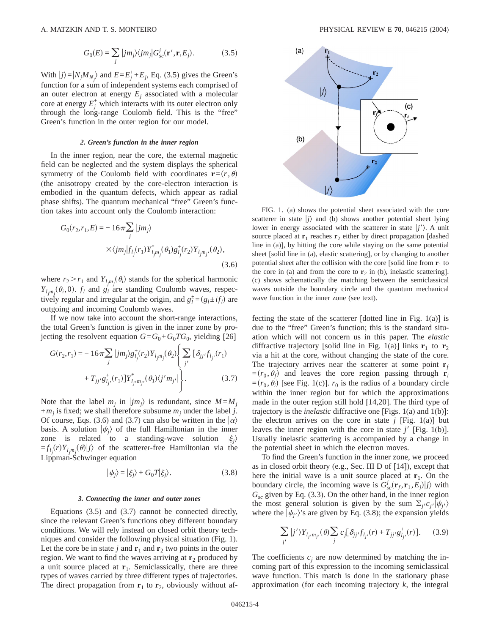$$
G_0(E) = \sum_j |j m_j\rangle\langle jm_j| G_{sc}^j(\mathbf{r}', \mathbf{r}, E_j).
$$
 (3.5)

With  $|j\rangle = |N_j M_{N_j}\rangle$  and  $E = E_j^+ + E_j$ , Eq. (3.5) gives the Green's function for a sum of independent systems each comprised of an outer electron at energy  $E_i$  associated with a molecular core at energy  $E_j^+$  which interacts with its outer electron only through the long-range Coulomb field. This is the "free" Green's function in the outer region for our model.

# *2. Green's function in the inner region*

In the inner region, near the core, the external magnetic field can be neglected and the system displays the spherical symmetry of the Coulomb field with coordinates  $\mathbf{r} = (r, \theta)$ (the anisotropy created by the core-electron interaction is embodied in the quantum defects, which appear as radial phase shifts). The quantum mechanical "free" Green's function takes into account only the Coulomb interaction:

$$
G_0(r_2, r_1, E) = -16\pi \sum_j |jm_j\rangle
$$
  
 
$$
\times \langle jm_j|f_{l_j}(r_1)Y^*_{l_jm_j}(\theta_1)g^+_{l_j}(r_2)Y_{l_jm_{j'}}(\theta_2),
$$
  
(3.6)

where  $r_2 > r_1$  and  $Y_{l_j m_j}(\theta_i)$  stands for the spherical harmonic  $Y_{l,m}(\theta_i,0)$ .  $f_l$  and  $g_l$  are standing Coulomb waves, respectively regular and irregular at the origin, and  $g_l^{\pm} = (g_l \pm i f_l)$  are outgoing and incoming Coulomb waves.

If we now take into account the short-range interactions, the total Green's function is given in the inner zone by projecting the resolvent equation  $G = G_0 + G_0 T G_0$ , yielding [26]

$$
G(r_2, r_1) = -16\pi \sum_{j} |j m_j \rangle g_{l_j}^+(r_2) Y_{l_j m_j}(\theta_2) \left\{ \sum_{j'} [\delta_{jj'} f_{l_{j'}}(r_1) + T_{jj'} g_{l_{j'}}^+(r_1)] Y_{l_j m_{j'}}^*(\theta_1) \langle j' m_{j'} | \right\}.
$$
 (3.7)

Note that the label  $m_i$  in  $\vert jm_i \rangle$  is redundant, since  $M = M_i$  $+m<sub>i</sub>$  is fixed; we shall therefore subsume  $m<sub>i</sub>$  under the label *j*. Of course, Eqs. (3.6) and (3.7) can also be written in the  $\ket{\alpha}$ basis. A solution  $|\psi_i\rangle$  of the full Hamiltonian in the inner zone is related to a standing-wave solution  $|\xi_i\rangle$  $=f_{l_j}(r)Y_{l_jm_j}(\theta)|j\rangle$  of the scatterer-free Hamiltonian via the Lippman-Schwinger equation

$$
|\psi_j\rangle = |\xi_j\rangle + G_0 T |\xi_j\rangle. \tag{3.8}
$$

#### *3. Connecting the inner and outer zones*

Equations (3.5) and (3.7) cannot be connected directly, since the relevant Green's functions obey different boundary conditions. We will rely instead on closed orbit theory techniques and consider the following physical situation (Fig. 1). Let the core be in state *j* and  $\mathbf{r}_1$  and  $\mathbf{r}_2$  two points in the outer region. We want to find the waves arriving at  $\mathbf{r}_2$  produced by a unit source placed at  $\mathbf{r}_1$ . Semiclassically, there are three types of waves carried by three different types of trajectories. The direct propagation from  $\mathbf{r}_1$  to  $\mathbf{r}_2$ , obviously without af-



FIG. 1. (a) shows the potential sheet associated with the core scatterer in state  $|j\rangle$  and (b) shows another potential sheet lying lower in energy associated with the scatterer in state  $|i'\rangle$ . A unit source placed at  $\mathbf{r}_1$  reaches  $\mathbf{r}_2$  either by direct propagation [dashed line in (a)], by hitting the core while staying on the same potential sheet [solid line in (a), elastic scattering], or by changing to another potential sheet after the collision with the core [solid line from  $\mathbf{r}_1$  to the core in (a) and from the core to  $\mathbf{r}_2$  in (b), inelastic scattering]. (c) shows schematically the matching between the semiclassical waves outside the boundary circle and the quantum mechanical wave function in the inner zone (see text).

fecting the state of the scatterer [dotted line in Fig. 1(a)] is due to the "free" Green's function; this is the standard situation which will not concern us in this paper. The *elastic* diffractive trajectory [solid line in Fig. 1(a)] links  $\mathbf{r}_1$  to  $\mathbf{r}_2$ via a hit at the core, without changing the state of the core. The trajectory arrives near the scatterer at some point  $\mathbf{r}_f$  $=(r_0, \theta_f)$  and leaves the core region passing through **r**<sub>*i*</sub>  $=(r_0, \dot{\theta}_i)$  [see Fig. 1(c)]. *r*<sub>0</sub> is the radius of a boundary circle within the inner region but for which the approximations made in the outer region still hold [14,20]. The third type of trajectory is the *inelastic* diffractive one [Figs. 1(a) and 1(b)]: the electron arrives on the core in state  $j$  [Fig. 1(a)] but leaves the inner region with the core in state  $j'$  [Fig. 1(b)]. Usually inelastic scattering is accompanied by a change in the potential sheet in which the electron moves.

To find the Green's function in the inner zone, we proceed as in closed orbit theory (e.g., Sec. III D of [14]), except that here the initial wave is a unit source placed at  $\mathbf{r}_1$ . On the boundary circle, the incoming wave is  $G_{sc}^{j}(\mathbf{r}_{f}, \mathbf{r}_{1}, E_{j})|j\rangle$  with *Gsc* given by Eq. (3.3). On the other hand, in the inner region the most general solution is given by the sum  $\Sigma_j$ ,  $c_j$ ,  $|\psi_j\rangle$ where the  $|\psi_{j'}\rangle$ 's are given by Eq. (3.8); the expansion yields

$$
\sum_{j'} |j'\rangle Y_{l_{j'}m_{j'}}(\theta) \sum_{j} c_j [\delta_{jj'} f_{l_{j'}}(r) + T_{jj'} g^+_{l_{j'}}(r)]. \tag{3.9}
$$

The coefficients  $c_i$  are now determined by matching the incoming part of this expression to the incoming semiclassical wave function. This match is done in the stationary phase approximation (for each incoming trajectory *k*, the integral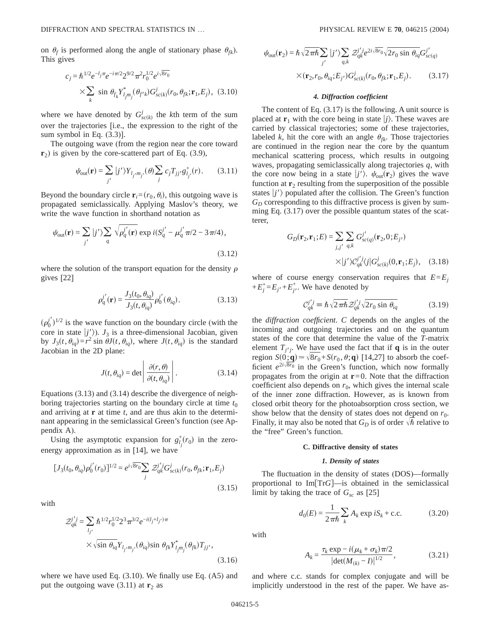on  $\theta_f$  is performed along the angle of stationary phase  $\theta_{fk}$ ). This gives

$$
c_j = \hbar^{1/2} e^{-l_j \pi} e^{-i \pi/2} 2^{9/2} \pi^2 r_0^{1/2} e^{i \sqrt{8r_0}}
$$
  
 
$$
\times \sum_k \sin \theta_{f_k} Y_{l_j m_j}^* (\theta_{f'k}) G_{sc(k)}^j (r_0, \theta_{fk}; \mathbf{r}_1, E_j), (3.10)
$$

where we have denoted by  $G_{sc(k)}^j$  the *k*th term of the sum over the trajectories [i.e., the expression to the right of the sum symbol in Eq. (3.3)].

The outgoing wave (from the region near the core toward **r**2) is given by the core-scattered part of Eq. (3.9),

$$
\psi_{\text{out}}(\mathbf{r}) = \sum_{j'} |j'\rangle Y_{l_{j'}m_{j'}}(\theta) \sum_{j} c_{j} T_{jj'} g_{l_{j'}}^{\dagger}(r). \qquad (3.11)
$$

Beyond the boundary circle  $\mathbf{r}_i = (r_0, \theta_i)$ , this outgoing wave is propagated semiclassically. Applying Maslov's theory, we write the wave function in shorthand notation as

$$
\psi_{\text{out}}(\mathbf{r}) = \sum_{j'} |j'\rangle \sum_{q} \sqrt{\rho_{q}^{j'}(\mathbf{r})} \exp i(S_{q}^{j'} - \mu_{q}^{j'} \pi/2 - 3\pi/4),
$$
\n(3.12)

where the solution of the transport equation for the density  $\rho$ gives [22]

$$
\rho_q^{j'}(\mathbf{r}) = \frac{J_3(t_0, \theta_{iq})}{J_3(t, \theta_{iq})} \rho_0^{j'}(\theta_{iq}).
$$
\n(3.13)

 $(\rho_0^{j'})^{1/2}$  is the wave function on the boundary circle (with the core in state  $|j'\rangle$ ).  $J_3$  is a three-dimensional Jacobian, given by  $J_3(t, \theta_{iq}) = r^2 \sin \theta J(t, \theta_{iq})$ , where  $J(t, \theta_{iq})$  is the standard Jacobian in the 2D plane:

$$
J(t, \theta_{iq}) = \det \left| \frac{\partial(r, \theta)}{\partial(t, \theta_{iq})} \right|.
$$
 (3.14)

Equations (3.13) and (3.14) describe the divergence of neighboring trajectories starting on the boundary circle at time  $t_0$ and arriving at **r** at time *t*, and are thus akin to the determinant appearing in the semiclassical Green's function (see Appendix A).

Using the asymptotic expansion for  $g_{l_j}^+$  $t_i^+(r_0)$  in the zeroenergy approximation as in [14], we have

$$
[J_3(t_0, \theta_{iq})\rho_0^{j'}(r_0)]^{1/2} = e^{i\sqrt{8r_0}} \sum_j \mathcal{Z}_{qk}^{j'} G_{sc(k)}^j(r_0, \theta_{fk}; \mathbf{r}_1, E_j)
$$
\n(3.15)

with

$$
\mathcal{Z}_{qk}^{j'j} = \sum_{l_{j'}} \hbar^{1/2} r_0^{1/2} 2^3 \pi^{3/2} e^{-i(l_{j} + l_{j'})\pi}
$$
  
 
$$
\times \sqrt{\sin \theta_{iq}} Y_{l_{j'}m_{j'}} (\theta_{iq}) \sin \theta_{fk} Y_{l_{j}m_{j}}^* (\theta_{fk}) T_{jj'},
$$
 (3.16)

where we have used Eq. (3.10). We finally use Eq. (A5) and put the outgoing wave  $(3.11)$  at  $\mathbf{r}_2$  as

$$
\psi_{\text{out}}(\mathbf{r}_2) = \hbar \sqrt{2\pi\hbar} \sum_{j'} |j'\rangle \sum_{q,k} \mathcal{Z}_{qk}^{j'j} e^{2i\sqrt{8r_0}} \sqrt{2r_0 \sin \theta_{iq}} G_{sc(q)}^{j'}
$$

$$
\times (\mathbf{r}_2, r_0, \theta_{iq}; E_{j'}) G_{sc(k)}^j(r_0, \theta_{fk}; \mathbf{r}_1, E_j). \tag{3.17}
$$

### *4. Diffraction coefficient*

The content of Eq. (3.17) is the following. A unit source is placed at  $\mathbf{r}_1$  with the core being in state  $|j\rangle$ . These waves are carried by classical trajectories; some of these trajectories, labeled *k*, hit the core with an angle  $\theta_{fk}$ . Those trajectories are continued in the region near the core by the quantum mechanical scattering process, which results in outgoing waves, propagating semiclassically along trajectories *q*, with the core now being in a state  $j'$ .  $\psi_{\text{out}}(\mathbf{r}_2)$  gives the wave function at  $\mathbf{r}_2$  resulting from the superposition of the possible states  $|j'\rangle$  populated after the collision. The Green's function  $G_D$  corresponding to this diffractive process is given by summing Eq. (3.17) over the possible quantum states of the scatterer,

$$
G_D(\mathbf{r}_2, \mathbf{r}_1; E) = \sum_{j,j'} \sum_{q,k} G_{\mathit{sc}(q)}^{j'}(\mathbf{r}_2, 0; E_{j'})
$$

$$
\times |j'\rangle C_{qk}^{j'}\langle j|G_{\mathit{sc}(k)}^{j'}(0, \mathbf{r}_1; E_j), \quad (3.18)
$$

where of course energy conservation requires that  $E=E_j$  $+E_j^+=E_{j'}+E_{j'}^+$ . We have denoted by

$$
C_{qk}^{j'j} \equiv \hbar \sqrt{2\pi\hbar} \mathcal{Z}_{qk}^{j'j} \sqrt{2r_0 \sin \theta_{iq}}
$$
 (3.19)

the *diffraction coefficient*. *C* depends on the angles of the incoming and outgoing trajectories and on the quantum states of the core that determine the value of the *T*-matrix element  $T_{j'j}$ . We have used the fact that if **q** is in the outer region  $S(0; \mathbf{q}) \approx \sqrt{8r_0 + S(r_0, \theta; \mathbf{q})}$  [14,27] to absorb the coefficient  $e^{2i\sqrt{8r_0}}$  in the Green's function, which now formally propagates from the origin at  $\mathbf{r}$  = 0. Note that the diffraction coefficient also depends on  $r_0$ , which gives the internal scale of the inner zone diffraction. However, as is known from closed orbit theory for the photoabsorption cross section, we show below that the density of states does not depend on  $r_0$ . Finally, it may also be noted that  $G_D$  is of order  $\sqrt{\hbar}$  relative to the "free" Green's function.

#### **C. Diffractive density of states**

## *1. Density of states*

The fluctuation in the density of states (DOS)—formally proportional to  $Im[TrG]$ —is obtained in the semiclassical limit by taking the trace of  $G_{sc}$  as [25]

$$
d_0(E) = \frac{1}{2\pi\hbar} \sum_k A_k \exp iS_k + \text{c.c.}
$$
 (3.20)

with

$$
A_k = \frac{\tau_k \exp - i(\mu_k + \sigma_k)\pi/2}{|\det(M_{(k)} - I)|^{1/2}},
$$
\n(3.21)

and where c.c. stands for complex conjugate and will be implicitly understood in the rest of the paper. We have as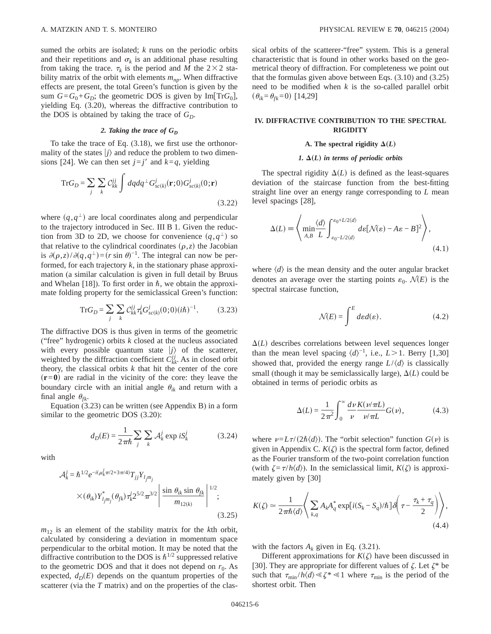sumed the orbits are isolated; *k* runs on the periodic orbits and their repetitions and  $\sigma_k$  is an additional phase resulting from taking the trace.  $\tau_k$  is the period and *M* the 2×2 stability matrix of the orbit with elements  $m_{np}$ . When diffractive effects are present, the total Green's function is given by the sum  $G = G_0 + G_D$ ; the geometric DOS is given by Im[Tr $G_0$ ], yielding Eq. (3.20), whereas the diffractive contribution to the DOS is obtained by taking the trace of  $G_D$ .

## 2. Taking the trace of G<sub>D</sub>

To take the trace of Eq. (3.18), we first use the orthonormality of the states  $|j\rangle$  and reduce the problem to two dimensions [24]. We can then set  $j = j'$  and  $k = q$ , yielding

$$
\operatorname{Tr} G_D = \sum_j \sum_k C_{kk}^{jj} \int dq dq^{\perp} G_{sc(k)}^j(\mathbf{r}; 0) G_{sc(k)}^j(0; \mathbf{r})
$$
\n(3.22)

where  $(q, q^{\perp})$  are local coordinates along and perpendicular to the trajectory introduced in Sec. III B 1. Given the reduction from 3D to 2D, we choose for convenience  $(q, q^{\perp})$  so that relative to the cylindrical coordinates  $(\rho, z)$  the Jacobian is  $\partial(\rho, z)/\partial(q, q^{\perp}) = (r \sin \theta)^{-1}$ . The integral can now be performed, for each trajectory  $k$ , in the stationary phase approximation (a similar calculation is given in full detail by Bruus and Whelan [18]). To first order in  $\hbar$ , we obtain the approximate folding property for the semiclassical Green's function:

$$
\mathrm{Tr} G_D = \sum_j \sum_k C_{kk}^{jj} \tau_k^j G_{sc(k)}^j(0;0) (i\hbar)^{-1}.
$$
 (3.23)

The diffractive DOS is thus given in terms of the geometric ("free" hydrogenic) orbits *k* closed at the nucleus associated with every possible quantum state  $|j\rangle$  of the scatterer, weighted by the diffraction coefficient  $\tilde{C}_{kk}^{jj}$ . As in closed orbit theory, the classical orbits  $k$  that hit the center of the core  $(r=0)$  are radial in the vicinity of the core: they leave the boundary circle with an initial angle  $\theta_{ik}$  and return with a final angle  $\theta_{fk}$ .

Equation (3.23) can be written (see Appendix B) in a form similar to the geometric DOS  $(3.20)$ :

$$
d_D(E) = \frac{1}{2\pi\hbar} \sum_{j} \sum_{k} \mathcal{A}_k^j \exp i S_k^j \tag{3.24}
$$

with

$$
\mathcal{A}_{k}^{j} = \hbar^{1/2} e^{-i(\mu_{k}^{j} \pi/2 + 3\pi/4)} T_{jj} Y_{l_{j}m_{j}}
$$

$$
\times (\theta_{ik}) Y_{l_{j}m_{j}}^{*} (\theta_{jk}) \tau_{k}^{j} 2^{5/2} \pi^{3/2} \left| \frac{\sin \theta_{ik} \sin \theta_{fk}}{m_{12(k)}} \right|^{1/2};
$$
\n(3.25)

 $m_{12}$  is an element of the stability matrix for the *k*th orbit, calculated by considering a deviation in momentum space perpendicular to the orbital motion. It may be noted that the diffractive contribution to the DOS is  $\hbar^{1/2}$  suppressed relative to the geometric DOS and that it does not depend on  $r_0$ . As expected,  $d_D(E)$  depends on the quantum properties of the scatterer (via the *T* matrix) and on the properties of the classical orbits of the scatterer-"free" system. This is a general characteristic that is found in other works based on the geometrical theory of diffraction. For completeness we point out that the formulas given above between Eqs. (3.10) and (3.25) need to be modified when *k* is the so-called parallel orbit  $(\theta_{ik} = \theta_{fk} = 0)$  [14,29]

# **IV. DIFFRACTIVE CONTRIBUTION TO THE SPECTRAL RIGIDITY**

## A. The spectral rigidity  $\Delta(L)$

### *1.*  $\Delta(L)$  *in terms of periodic orbits*

The spectral rigidity  $\Delta(L)$  is defined as the least-squares deviation of the staircase function from the best-fitting straight line over an energy range corresponding to *L* mean level spacings [28],

$$
\Delta(L) = \left\langle \min_{A,B} \frac{\langle d \rangle}{L} \int_{\epsilon_0 - L/2 \langle d \rangle}^{\epsilon_0 + L/2 \langle d \rangle} d\epsilon [\mathcal{N}(\epsilon) - A\epsilon - B]^2 \right\rangle, \tag{4.1}
$$

where  $\langle d \rangle$  is the mean density and the outer angular bracket denotes an average over the starting points  $\varepsilon_0$ .  $\mathcal{N}(E)$  is the spectral staircase function,

$$
\mathcal{N}(E) = \int^{E} d\epsilon d(\epsilon).
$$
 (4.2)

 $\Delta(L)$  describes correlations between level sequences longer than the mean level spacing  $\langle d \rangle^{-1}$ , i.e., *L*>1. Berry [1,30] showed that, provided the energy range  $L/\langle d \rangle$  is classically small (though it may be semiclassically large),  $\Delta(L)$  could be obtained in terms of periodic orbits as

$$
\Delta(L) = \frac{1}{2\pi^2} \int_0^\infty \frac{d\nu}{\nu} \frac{K(\nu/\pi L)}{\nu/\pi L} G(\nu),\tag{4.3}
$$

where  $\nu = L\tau/(2\hbar \langle d \rangle)$ . The "orbit selection" function  $G(\nu)$  is given in Appendix C.  $K(\zeta)$  is the spectral form factor, defined as the Fourier transform of the two-point correlation function (with  $\zeta = \tau/h\langle d\rangle$ ). In the semiclassical limit,  $K(\zeta)$  is approximately given by [30]

$$
K(\zeta) \simeq \frac{1}{2\pi\hbar \langle d \rangle} \Biggl\langle \sum_{k,q} A_k A_q^* \exp[i(S_k - S_q)/\hbar] \delta \Biggl(\tau - \frac{\tau_k + \tau_q}{2}\Biggr) \Biggr\rangle, \tag{4.4}
$$

with the factors  $A_k$  given in Eq. (3.21).

Different approximations for  $K(\zeta)$  have been discussed in [30]. They are appropriate for different values of  $\zeta$ . Let  $\zeta^*$  be such that  $\tau_{\min}/h\langle d \rangle \ll \zeta^* \ll 1$  where  $\tau_{\min}$  is the period of the shortest orbit. Then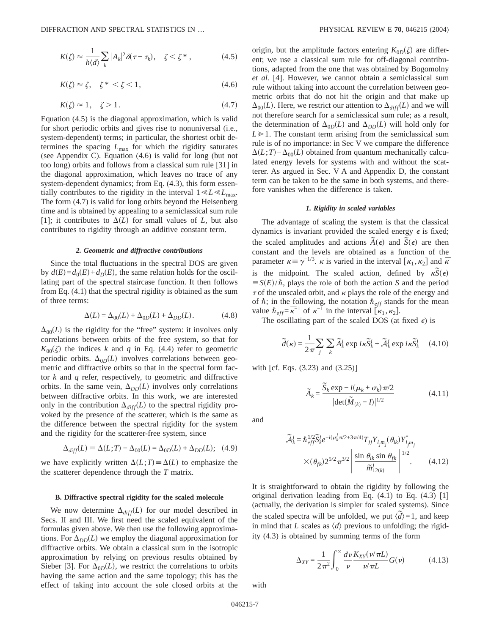$$
K(\zeta) \approx \frac{1}{h\langle d\rangle} \sum_{k} |A_k|^2 \delta(\tau - \tau_k), \quad \zeta < \zeta^*, \tag{4.5}
$$

$$
K(\zeta) \approx \zeta, \quad \zeta^* < \zeta < 1,\tag{4.6}
$$

$$
K(\zeta) \approx 1, \quad \zeta > 1. \tag{4.7}
$$

Equation (4.5) is the diagonal approximation, which is valid for short periodic orbits and gives rise to nonuniversal (i.e., system-dependent) terms; in particular, the shortest orbit determines the spacing  $L_{\text{max}}$  for which the rigidity saturates (see Appendix C). Equation (4.6) is valid for long (but not too long) orbits and follows from a classical sum rule [31] in the diagonal approximation, which leaves no trace of any system-dependent dynamics; from Eq. (4.3), this form essentially contributes to the rigidity in the interval  $1 \ll L \ll L_{\text{max}}$ . The form (4.7) is valid for long orbits beyond the Heisenberg time and is obtained by appealing to a semiclassical sum rule [1]; it contributes to  $\Delta(L)$  for small values of *L*, but also contributes to rigidity through an additive constant term.

### *2. Geometric and diffractive contributions*

Since the total fluctuations in the spectral DOS are given by  $d(E) = d_0(E) + d_D(E)$ , the same relation holds for the oscillating part of the spectral staircase function. It then follows from Eq. (4.1) that the spectral rigidity is obtained as the sum of three terms:

$$
\Delta(L) = \Delta_{00}(L) + \Delta_{0D}(L) + \Delta_{DD}(L). \tag{4.8}
$$

 $\Delta_{00}(L)$  is the rigidity for the "free" system: it involves only correlations between orbits of the free system, so that for  $K_{00}(\zeta)$  the indices *k* and *q* in Eq. (4.4) refer to geometric periodic orbits.  $\Delta_{0D}(L)$  involves correlations between geometric and diffractive orbits so that in the spectral form factor *k* and *q* refer, respectively, to geometric and diffractive orbits. In the same vein,  $\Delta_{DD}(L)$  involves only correlations between diffractive orbits. In this work, we are interested only in the contribution  $\Delta_{diff}(L)$  to the spectral rigidity provoked by the presence of the scatterer, which is the same as the difference between the spectral rigidity for the system and the rigidity for the scatterer-free system, since

$$
\Delta_{diff}(L) \equiv \Delta(L;T) - \Delta_{00}(L) = \Delta_{0D}(L) + \Delta_{DD}(L); \quad (4.9)
$$

we have explicitly written  $\Delta(L;T) \equiv \Delta(L)$  to emphasize the the scatterer dependence through the *T* matrix.

### **B. Diffractive spectral rigidity for the scaled molecule**

We now determine  $\Delta_{diff}(L)$  for our model described in Secs. II and III. We first need the scaled equivalent of the formulas given above. We then use the following approximations. For  $\Delta_{DD}(L)$  we employ the diagonal approximation for diffractive orbits. We obtain a classical sum in the isotropic approximation by relying on previous results obtained by Sieber [3]. For  $\Delta_{0D}(L)$ , we restrict the correlations to orbits having the same action and the same topology; this has the effect of taking into account the sole closed orbits at the origin, but the amplitude factors entering  $K_{0D}(\zeta)$  are different; we use a classical sum rule for off-diagonal contributions, adapted from the one that was obtained by Bogomolny *et al.* [4]. However, we cannot obtain a semiclassical sum rule without taking into account the correlation between geometric orbits that do not hit the origin and that make up  $\Delta_{00}(L)$ . Here, we restrict our attention to  $\Delta_{diff}(L)$  and we will not therefore search for a semiclassical sum rule; as a result, the determination of  $\Delta_{0D}(L)$  and  $\Delta_{DD}(L)$  will hold only for  $L \geq 1$ . The constant term arising from the semiclassical sum rule is of no importance: in Sec V we compare the difference  $\Delta(L;T) - \Delta_{00}(L)$  obtained from quantum mechanically calculated energy levels for systems with and without the scatterer. As argued in Sec. V A and Appendix D, the constant term can be taken to be the same in both systems, and therefore vanishes when the difference is taken.

#### *1. Rigidity in scaled variables*

The advantage of scaling the system is that the classical dynamics is invariant provided the scaled energy  $\epsilon$  is fixed; the scaled amplitudes and actions  $\tilde{A}(\epsilon)$  and  $\tilde{S}(\epsilon)$  are then constant and the levels are obtained as a function of the parameter  $\kappa \equiv \gamma^{-1/3}$ .  $\kappa$  is varied in the interval  $[\kappa_1, \kappa_2]$  and  $\bar{\kappa}$ is the midpoint. The scaled action, defined by  $\kappa \tilde{S}(\epsilon)$  $\equiv S(E)/\hbar$ , plays the role of both the action *S* and the period  $\tau$  of the unscaled orbit, and  $\kappa$  plays the role of the energy and of  $\hbar$ ; in the following, the notation  $\hbar$ <sub>eff</sub> stands for the mean value  $\hbar_{eff} = \overline{\kappa}^{-1}$  of  $\kappa^{-1}$  in the interval  $[\kappa_1, \kappa_2]$ .

The oscillating part of the scaled DOS (at fixed  $\epsilon$ ) is

$$
\widetilde{d}(\kappa) = \frac{1}{2\pi} \sum_{j} \sum_{k} \widetilde{A}_{k}^{j} \exp i\kappa \widetilde{S}_{k}^{j} + \widetilde{A}_{k}^{j} \exp i\kappa \widetilde{S}_{k}^{j} \quad (4.10)
$$

with [cf. Eqs. (3.23) and (3.25)]

$$
\widetilde{A}_k = \frac{\widetilde{S}_k \exp - i(\mu_k + \sigma_k)\pi/2}{|\det(\widetilde{M}_{(k)} - I)|^{1/2}}
$$
(4.11)

and

$$
\widetilde{\mathcal{A}}_{k}^{j} = \hbar \, \frac{l_{eff}^{1/2} \widetilde{S}_{k}^{j} e^{-i(\mu_{k}^{j} \pi/2 + 3\pi/4)} T_{jj} Y_{l_{j}m_{j}} (\theta_{ik}) Y_{l_{j}m_{j}}^{*}}{\times (\theta_{fk}) 2^{5/2} \pi^{3/2} \left| \frac{\sin \theta_{ik} \sin \theta_{fk}}{\widetilde{m}_{12(k)}^{j}} \right|^{1/2}.
$$
 (4.12)

It is straightforward to obtain the rigidity by following the original derivation leading from Eq. (4.1) to Eq. (4.3) [1] (actually, the derivation is simpler for scaled systems). Since the scaled spectra will be unfolded, we put  $\langle \tilde{d} \rangle = 1$ , and keep in mind that *L* scales as  $\langle d \rangle$  previous to unfolding; the rigidity (4.3) is obtained by summing terms of the form

$$
\Delta_{XY} = \frac{1}{2\pi^2} \int_0^\infty \frac{d\nu}{\nu} \frac{K_{XY}(\nu/\pi L)}{\nu/\pi L} G(\nu) \tag{4.13}
$$

with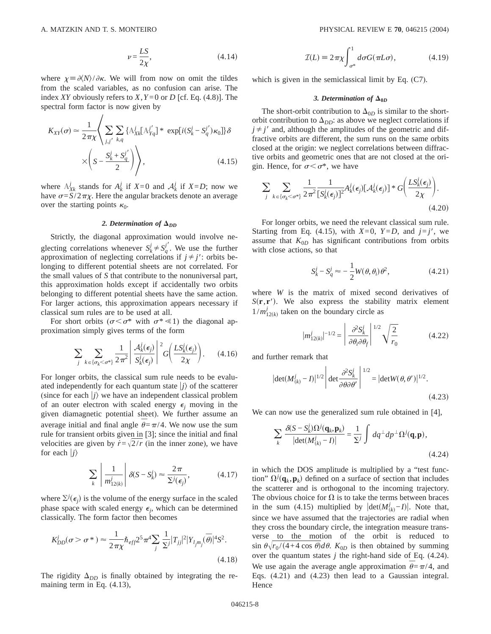$$
\nu = \frac{LS}{2\chi},\tag{4.14}
$$

where  $\chi \equiv \partial \langle N \rangle / \partial \kappa$ . We will from now on omit the tildes from the scaled variables, as no confusion can arise. The index *XY* obviously refers to *X*,  $Y=0$  or *D* [cf. Eq. (4.8)]. The spectral form factor is now given by

$$
K_{XY}(\sigma) \simeq \frac{1}{2\pi\chi} \left\langle \sum_{j,j'} \sum_{k,q} {\{\mathbf{A}_{Xk}^j[\mathbf{A}_{Yq}^{j'}] * \exp[i(S_k^j - S_q^{j'})\kappa_0]\}} \delta \right\rangle
$$
  
 
$$
\times \left(S - \frac{S_k^j + S_q^{j'}}{2}\right) \left.\right\rangle, \tag{4.15}
$$

where  $A_{Xk}^j$  stands for  $A_k^j$  if  $X=0$  and  $A_k^j$  if  $X=D$ ; now we have  $\sigma = S/2\pi\chi$ . Here the angular brackets denote an average over the starting points  $\kappa_0$ .

# 2. Determination of  $\Delta_{DD}$

Strictly, the diagonal approximation would involve neglecting correlations whenever  $S_k^j \neq S_q^{j'}$ . We use the further approximation of neglecting correlations if  $j \neq j'$ : orbits belonging to different potential sheets are not correlated. For the small values of *S* that contribute to the nonuniversal part, this approximation holds except if accidentally two orbits belonging to different potential sheets have the same action. For larger actions, this approximation appears necessary if classical sum rules are to be used at all.

For short orbits ( $\sigma < \sigma^*$  with  $\sigma^* \leq 1$ ) the diagonal approximation simply gives terms of the form

$$
\sum_{j} \sum_{k \in \{\sigma_k < \sigma^*\}} \frac{1}{2\pi^2} \left| \frac{\mathcal{A}_k^j(\epsilon_j)}{S_k^j(\epsilon_j)} \right|^2 G\left(\frac{LS_k^j(\epsilon_j)}{2\chi}\right). \tag{4.16}
$$

For longer orbits, the classical sum rule needs to be evaluated independently for each quantum state  $|i\rangle$  of the scatterer (since for each  $|j\rangle$  we have an independent classical problem of an outer electron with scaled energy  $\epsilon_i$  moving in the given diamagnetic potential sheet). We further assume an average initial and final angle  $\bar{\theta} = \pi/4$ . We now use the sum rule for transient orbits given in [3]; since the initial and final velocities are given by  $\dot{r} = \sqrt{2/r}$  (in the inner zone), we have for each  $|j\rangle$ 

$$
\sum_{k} \left| \frac{1}{m_{12(k)}^j} \right| \delta(S - S_k^j) \approx \frac{2\pi}{\Sigma^j(\epsilon_j)},
$$
\n(4.17)

where  $\Sigma^j(\epsilon_j)$  is the volume of the energy surface in the scaled phase space with scaled energy  $\epsilon_i$ , which can be determined classically. The form factor then becomes

$$
K_{DD}^{j}(\sigma > \sigma^{*}) \approx \frac{1}{2\pi\chi} \hbar_{eff} 2^{5} \pi^{4} \sum_{j} \frac{1}{\Sigma^{j}} |T_{jj}|^{2} |Y_{l_{j}m_{j}}(\overline{\theta})|^{4} S^{2}.
$$
\n(4.18)

The rigidity  $\Delta_{DD}$  is finally obtained by integrating the remaining term in Eq. (4.13),

$$
\mathcal{I}(L) \equiv 2\pi \chi \int_{\sigma^*}^1 d\sigma G(\pi L \sigma), \tag{4.19}
$$

which is given in the semiclassical limit by Eq. (C7).

#### 3. Determination of  $\Delta_{0D}$

The short-orbit contribution to  $\Delta_{0D}$  is similar to the shortorbit contribution to  $\Delta_{DD}$ : as above we neglect correlations if  $j \neq j'$  and, although the amplitudes of the geometric and diffractive orbits are different, the sum runs on the same orbits closed at the origin: we neglect correlations between diffractive orbits and geometric ones that are not closed at the origin. Hence, for  $\sigma < \sigma^*$ , we have

$$
\sum_{j} \sum_{k \in \{\sigma_k < \sigma^*\}} \frac{1}{2\pi^2} \frac{1}{[S_k^j(\epsilon_j)]^2} A_k^j(\epsilon_j) [\mathcal{A}_k^j(\epsilon_j)]^* G\left(\frac{L S_k^j(\epsilon_j)}{2\chi}\right). \tag{4.20}
$$

For longer orbits, we need the relevant classical sum rule. Starting from Eq. (4.15), with  $X=0$ ,  $Y=D$ , and  $j=j'$ , we assume that  $K_{0D}$  has significant contributions from orbits with close actions, so that

$$
S_k^j - S_q^j \approx -\frac{1}{2}W(\theta, \theta_i)\theta^2, \qquad (4.21)
$$

where *W* is the matrix of mixed second derivatives of  $S(\mathbf{r}, \mathbf{r}')$ . We also express the stability matrix element  $1/m_{12(k)}^j$  taken on the boundary circle as

$$
|m_{12(k)}^j|^{-1/2} = \left| \frac{\partial^2 S_k^j}{\partial \theta_i \partial \theta_f} \right|^{1/2} \sqrt{\frac{2}{r_0}} \tag{4.22}
$$

and further remark that

$$
|\det(M_{(k)}^j - I)|^{1/2} \left| \det \frac{\partial^2 S_k^j}{\partial \theta \partial \theta'} \right|^{1/2} = |\det W(\theta, \theta')|^{1/2}.
$$
\n(4.23)

We can now use the generalized sum rule obtained in [4],

$$
\sum_{k} \frac{\partial (S - S_{k}^{j}) \Omega^{j}(\mathbf{q}_{k}, \mathbf{p}_{k})}{|\det(M_{(k)}^{j} - I)|} = \frac{1}{\Sigma^{j}} \int dq^{\perp} dp^{\perp} \Omega^{j}(\mathbf{q}, \mathbf{p}),
$$
\n(4.24)

in which the DOS amplitude is multiplied by a "test function"  $\Omega^j(\mathbf{q}_k, \mathbf{p}_k)$  defined on a surface of section that includes the scatterer and is orthogonal to the incoming trajectory. The obvious choice for  $\Omega$  is to take the terms between braces in the sum (4.15) multiplied by  $|\text{det}(M_{(k)}^j - I)|$ . Note that, since we have assumed that the trajectories are radial when they cross the boundary circle, the integration measure transverse to the motion of the orbit is reduced to  $\sin \theta \sqrt{r_0 / (4+4 \cos \theta)} d\theta$ .  $K_{0D}$  is then obtained by summing over the quantum states *j* the right-hand side of Eq. (4.24). We use again the average angle approximation  $\bar{\theta} = \pi/4$ , and Eqs. (4.21) and (4.23) then lead to a Gaussian integral. Hence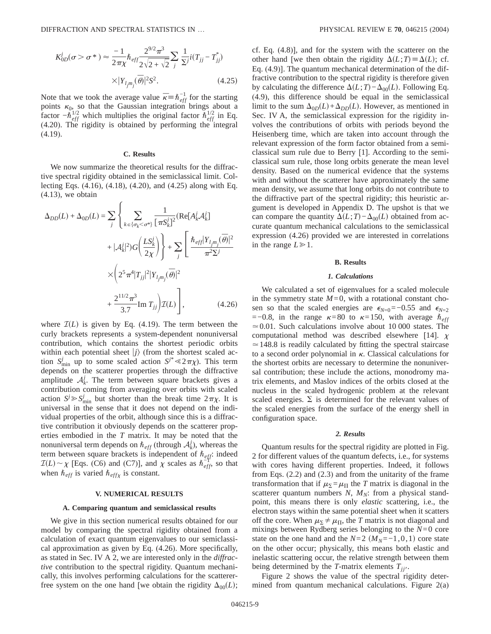$$
K_{0D}^{j}(\sigma > \sigma^{*}) \approx \frac{-1}{2\pi\chi} \hbar_{eff} \frac{2^{9/2} \pi^{3}}{2\sqrt{2 + \sqrt{2}}} \sum_{j} \frac{1}{\Sigma^{j}} i(T_{jj} - T_{jj}^{*})
$$

$$
\times |Y_{l_{j}m_{j}}(\bar{\theta})|^{2} S^{2}. \tag{4.25}
$$

Note that we took the average value  $\bar{\kappa} \equiv \hbar_{eff}^{-1}$  for the starting points  $\kappa_0$ , so that the Gaussian integration brings about a factor  $-\hbar^{1/2}_{eff}$  which multiplies the original factor  $\hbar^{1/2}_{eff}$  in Eq. (4.20). The rigidity is obtained by performing the integral (4.19).

## **C. Results**

We now summarize the theoretical results for the diffractive spectral rigidity obtained in the semiclassical limit. Collecting Eqs. (4.16), (4.18), (4.20), and (4.25) along with Eq.  $(4.13)$ , we obtain

$$
\Delta_{DD}(L) + \Delta_{0D}(L) = \sum_{j} \left\{ \sum_{k \in {\{\sigma_k < \sigma^*\}}} \frac{1}{[\pi S_k^j]^2} (\text{Re}[A_k^j A_k^j] + |\mathcal{A}_k^j|^2) G\left(\frac{LS_k^j}{2\chi}\right) \right\} + \sum_{j} \left[ \frac{\hbar_{eff} |Y_{l_j m_j}(\overline{\theta})|^2}{\pi^2 \Sigma^j} \times \left(2^5 \pi^4 |T_{jj}|^2 |Y_{l_j m_j}(\overline{\theta})|^2 + \frac{2^{11/2} \pi^3}{3.7} \text{Im } T_{jj} \right) \mathcal{I}(L) \right], \tag{4.26}
$$

where  $\mathcal{I}(L)$  is given by Eq. (4.19). The term between the curly brackets represents a system-dependent nonuniversal contribution, which contains the shortest periodic orbits within each potential sheet  $|j\rangle$  (from the shortest scaled action  $S_{\min}^j$  up to some scaled action  $S^{j*} \ll 2\pi \chi$ ). This term depends on the scatterer properties through the diffractive amplitude  $A_k^j$ . The term between square brackets gives a contribution coming from averaging over orbits with scaled action  $S^j \gg S^j_{\text{min}}$  but shorter than the break time  $2\pi\chi$ . It is universal in the sense that it does not depend on the individual properties of the orbit, although since this is a diffractive contribution it obviously depends on the scatterer properties embodied in the *T* matrix. It may be noted that the nonuniversal term depends on  $\hbar$ <sub>eff</sub> (through  $\mathcal{A}_k^j$ ), whereas the term between square brackets is independent of  $\hbar_{eff}$ : indeed  $\mathcal{I}(L) \sim \chi$  [Eqs. (C6) and (C7)], and  $\chi$  scales as  $\hbar_{eff}^{-1}$  so that when  $\hbar_{eff}$  is varied  $\hbar_{eff}$  is constant.

#### **V. NUMERICAL RESULTS**

#### **A. Comparing quantum and semiclassical results**

We give in this section numerical results obtained for our model by comparing the spectral rigidity obtained from a calculation of exact quantum eigenvalues to our semiclassical approximation as given by Eq. (4.26). More specifically, as stated in Sec. IV A 2, we are interested only in the *diffractive* contribution to the spectral rigidity. Quantum mechanically, this involves performing calculations for the scattererfree system on the one hand [we obtain the rigidity  $\Delta_{00}(L)$ ; cf. Eq. (4.8)], and for the system with the scatterer on the other hand [we then obtain the rigidity  $\Delta(L;T) \equiv \Delta(L)$ ; cf. Eq. (4.9)]. The quantum mechanical determination of the diffractive contribution to the spectral rigidity is therefore given by calculating the difference  $\Delta(L;T) - \Delta_{00}(L)$ . Following Eq. (4.9), this difference should be equal in the semiclassical limit to the sum  $\Delta_{0D}(L) + \Delta_{DD}(L)$ . However, as mentioned in Sec. IV A, the semiclassical expression for the rigidity involves the contributions of orbits with periods beyond the Heisenberg time, which are taken into account through the relevant expression of the form factor obtained from a semiclassical sum rule due to Berry [1]. According to the semiclassical sum rule, those long orbits generate the mean level density. Based on the numerical evidence that the systems with and without the scatterer have approximately the same mean density, we assume that long orbits do not contribute to the diffractive part of the spectral rigidity; this heuristic argument is developed in Appendix D. The upshot is that we can compare the quantity  $\Delta(L;T) - \Delta_{00}(L)$  obtained from accurate quantum mechanical calculations to the semiclassical expression (4.26) provided we are interested in correlations in the range  $L \ge 1$ .

#### **B. Results**

## *1. Calculations*

We calculated a set of eigenvalues for a scaled molecule in the symmetry state  $M=0$ , with a rotational constant chosen so that the scaled energies are  $\epsilon_{N=0} = -0.55$  and  $\epsilon_{N=2}$  $=-0.8$ , in the range  $\kappa=80$  to  $\kappa=150$ , with average  $\hbar$ <sub>eff</sub>  $\approx 0.01$ . Such calculations involve about 10 000 states. The computational method was described elsewhere [14].  $\chi$  $\simeq$  148.8 is readily calculated by fitting the spectral staircase to a second order polynomial in  $\kappa$ . Classical calculations for the shortest orbits are necessary to determine the nonuniversal contribution; these include the actions, monodromy matrix elements, and Maslov indices of the orbits closed at the nucleus in the scaled hydrogenic problem at the relevant scaled energies.  $\Sigma$  is determined for the relevant values of the scaled energies from the surface of the energy shell in configuration space.

### *2. Results*

Quantum results for the spectral rigidity are plotted in Fig. 2 for different values of the quantum defects, i.e., for systems with cores having different properties. Indeed, it follows from Eqs. (2.2) and (2.3) and from the unitarity of the frame transformation that if  $\mu_{\Sigma} = \mu_{\Pi}$  the *T* matrix is diagonal in the scatterer quantum numbers  $N$ ,  $M_N$ : from a physical standpoint, this means there is only *elastic* scattering, i.e., the electron stays within the same potential sheet when it scatters off the core. When  $\mu_{\Sigma} \neq \mu_{\Pi}$ , the *T* matrix is not diagonal and mixings between Rydberg series belonging to the *N*=0 core state on the one hand and the  $N=2$   $(M_N=-1,0,1)$  core state on the other occur; physically, this means both elastic and inelastic scattering occur, the relative strength between them being determined by the *T*-matrix elements  $T_{jj'}$ .

Figure 2 shows the value of the spectral rigidity determined from quantum mechanical calculations. Figure 2(a)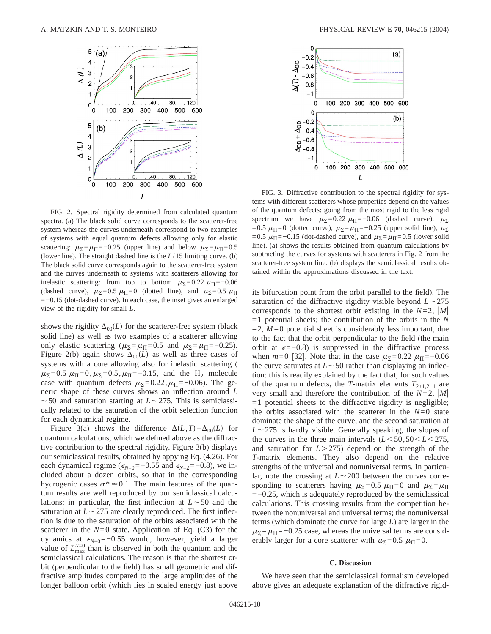

FIG. 2. Spectral rigidity determined from calculated quantum spectra. (a) The black solid curve corresponds to the scatterer-free system whereas the curves underneath correspond to two examples of systems with equal quantum defects allowing only for elastic scattering:  $\mu_{\Sigma}=\mu_{\Pi}=-0.25$  (upper line) and below  $\mu_{\Sigma}=\mu_{\Pi}=0.5$ (lower line). The straight dashed line is the *L*/15 limiting curve. (b) The black solid curve corresponds again to the scatterer-free system and the curves underneath to systems with scatterers allowing for inelastic scattering: from top to bottom  $\mu_{\Sigma}=0.22 \mu_{\Pi}=-0.06$ (dashed curve),  $\mu_{\Sigma}=0.5 \mu_{\Pi}=0$  (dotted line), and  $\mu_{\Sigma}=0.5 \mu_{\Pi}$ =−0.15 (dot-dashed curve). In each case, the inset gives an enlarged view of the rigidity for small *L*.

shows the rigidity  $\Delta_{00}(L)$  for the scatterer-free system (black solid line) as well as two examples of a scatterer allowing only elastic scattering ( $\mu_{\Sigma}=\mu_{\Pi}=0.5$  and  $\mu_{\Sigma}=\mu_{\Pi}=-0.25$ ). Figure 2(b) again shows  $\Delta_{00}(L)$  as well as three cases of systems with a core allowing also for inelastic scattering (  $\mu_{\Sigma}=0.5 \mu_{\Pi}=0, \mu_{\Sigma}=0.5, \mu_{\Pi}=-0.15$ , and the H<sub>2</sub> molecule case with quantum defects  $\mu_{\Sigma}=0.22$ ,  $\mu_{\Pi}=-0.06$ ). The generic shape of these curves shows an inflection around *L*  $\sim$  50 and saturation starting at *L* $\sim$ 275. This is semiclassically related to the saturation of the orbit selection function for each dynamical regime.

Figure 3(a) shows the difference  $\Delta(L,T) - \Delta_{00}(L)$  for quantum calculations, which we defined above as the diffractive contribution to the spectral rigidity. Figure 3(b) displays our semiclassical results, obtained by appying Eq. (4.26). For each dynamical regime ( $\epsilon_{N=0}$ =–0.55 and  $\epsilon_{N=2}$ =–0.8), we included about a dozen orbits, so that in the corresponding hydrogenic cases  $\sigma^* \approx 0.1$ . The main features of the quantum results are well reproduced by our semiclassical calculations: in particular, the first inflection at  $L \sim 50$  and the saturation at  $L \sim 275$  are clearly reproduced. The first inflection is due to the saturation of the orbits associated with the scatterer in the  $N=0$  state. Application of Eq. (C3) for the dynamics at  $\epsilon_{N=0}$ =−0.55 would, however, yield a larger value of  $L_{\text{max}}^{N=0}$  than is observed in both the quantum and the semiclassical calculations. The reason is that the shortest orbit (perpendicular to the field) has small geometric and diffractive amplitudes compared to the large amplitudes of the longer balloon orbit (which lies in scaled energy just above



FIG. 3. Diffractive contribution to the spectral rigidity for systems with different scatterers whose properties depend on the values of the quantum defects: going from the most rigid to the less rigid spectrum we have  $\mu_{\Sigma}=0.22 \mu_{\Pi}=-0.06$  (dashed curve),  $\mu_{\Sigma}$ =0.5  $\mu_{\Pi}$ =0 (dotted curve),  $\mu_{\Sigma}=\mu_{\Pi}=-0.25$  (upper solid line),  $\mu_{\Sigma}$ =0.5  $\mu_{\Pi}$ =−0.15 (dot-dashed curve), and  $\mu_{\Sigma}=\mu_{\Pi}=0.5$  (lower solid line). (a) shows the results obtained from quantum calculations by subtracting the curves for systems with scatterers in Fig. 2 from the scatterer-free system line. (b) displays the semiclassical results obtained within the approximations discussed in the text.

its bifurcation point from the orbit parallel to the field). The saturation of the diffractive rigidity visible beyond  $L \sim 275$ corresponds to the shortest orbit existing in the  $N=2$ ,  $|M|$ =1 potential sheets; the contribution of the orbits in the *N*  $=2$ ,  $M=0$  potential sheet is considerably less important, due to the fact that the orbit perpendicular to the field (the main orbit at  $\epsilon = -0.8$ ) is suppressed in the diffractive process when  $m=0$  [32]. Note that in the case  $\mu_{\Sigma}=0.22$   $\mu_{\Pi}=-0.06$ the curve saturates at  $L \sim 50$  rather than displaying an inflection: this is readily explained by the fact that, for such values of the quantum defects, the *T*-matrix elements  $T_{2+1,2+1}$  are very small and therefore the contribution of the  $N=2$ ,  $|M|$  $=1$  potential sheets to the diffractive rigidity is negligible; the orbits associated with the scatterer in the  $N=0$  state dominate the shape of the curve, and the second saturation at  $L \sim 275$  is hardly visible. Generally speaking, the slopes of the curves in the three main intervals  $(L \le 50, 50 \le L \le 275,$ and saturation for  $L > 275$ ) depend on the strength of the *T*-matrix elements. They also depend on the relative strengths of the universal and nonuniversal terms. In particular, note the crossing at  $L \sim 200$  between the curves corresponding to scatterers having  $\mu$ <sub>S</sub>=0.5  $\mu$ <sub>II</sub>=0 and  $\mu$ <sub>S</sub>= $\mu$ <sub>II</sub> =−0.25, which is adequately reproduced by the semiclassical calculations. This crossing results from the competition between the nonuniversal and universal terms; the nonuniversal terms (which dominate the curve for large *L*) are larger in the  $\mu_{\Sigma}=\mu_{\Pi}=-0.25$  case, whereas the universal terms are considerably larger for a core scatterer with  $\mu_{\Sigma}=0.5 \mu_{\Pi}=0$ .

## **C. Discussion**

We have seen that the semiclassical formalism developed above gives an adequate explanation of the diffractive rigid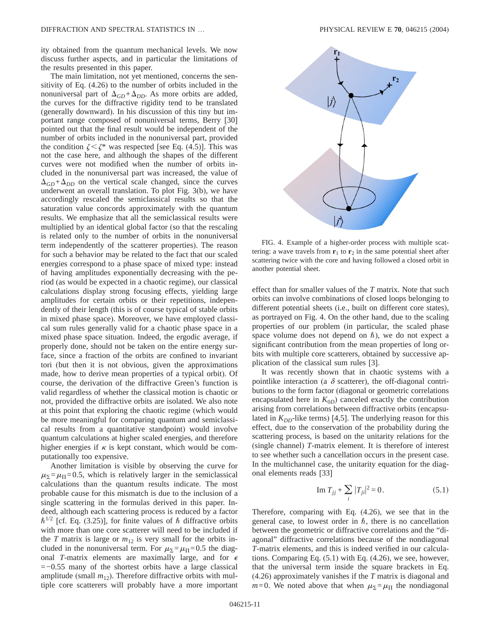ity obtained from the quantum mechanical levels. We now discuss further aspects, and in particular the limitations of the results presented in this paper.

The main limitation, not yet mentioned, concerns the sensitivity of Eq. (4.26) to the number of orbits included in the nonuniversal part of  $\Delta_{GD} + \Delta_{DD}$ . As more orbits are added, the curves for the diffractive rigidity tend to be translated (generally downward). In his discussion of this tiny but important range composed of nonuniversal terms, Berry [30] pointed out that the final result would be independent of the number of orbits included in the nonuniversal part, provided the condition  $\zeta \leq \zeta^*$  was respected [see Eq. (4.5)]. This was not the case here, and although the shapes of the different curves were not modified when the number of orbits included in the nonuniversal part was increased, the value of  $\Delta_{GD}$  +  $\Delta_{DD}$  on the vertical scale changed, since the curves underwent an overall translation. To plot Fig. 3(b), we have accordingly rescaled the semiclassical results so that the saturation value concords approximately with the quantum results. We emphasize that all the semiclassical results were multiplied by an identical global factor (so that the rescaling is related only to the number of orbits in the nonuniversal term independently of the scatterer properties). The reason for such a behavior may be related to the fact that our scaled energies correspond to a phase space of mixed type: instead of having amplitudes exponentially decreasing with the period (as would be expected in a chaotic regime), our classical calculations display strong focusing effects, yielding large amplitudes for certain orbits or their repetitions, independently of their length (this is of course typical of stable orbits in mixed phase space). Moreover, we have employed classical sum rules generally valid for a chaotic phase space in a mixed phase space situation. Indeed, the ergodic average, if properly done, should not be taken on the entire energy surface, since a fraction of the orbits are confined to invariant tori (but then it is not obvious, given the approximations made, how to derive mean properties of a typical orbit). Of course, the derivation of the diffractive Green's function is valid regardless of whether the classical motion is chaotic or not, provided the diffractive orbits are isolated. We also note at this point that exploring the chaotic regime (which would be more meaningful for comparing quantum and semiclassical results from a quantitative standpoint) would involve quantum calculations at higher scaled energies, and therefore higher energies if  $\kappa$  is kept constant, which would be computationally too expensive.

Another limitation is visible by observing the curve for  $\mu_{\Sigma} = \mu_{\Pi} = 0.5$ , which is relatively larger in the semiclassical calculations than the quantum results indicate. The most probable cause for this mismatch is due to the inclusion of a single scattering in the formulas derived in this paper. Indeed, although each scattering process is reduced by a factor  $\hbar^{1/2}$  [cf. Eq. (3.25)], for finite values of  $\hbar$  diffractive orbits with more than one core scatterer will need to be included if the *T* matrix is large or  $m_{12}$  is very small for the orbits included in the nonuniversal term. For  $\mu_{\Sigma}=\mu_{\Pi}=0.5$  the diagonal *T*-matrix elements are maximally large, and for  $\epsilon$ =−0.55 many of the shortest orbits have a large classical amplitude (small  $m_{12}$ ). Therefore diffractive orbits with multiple core scatterers will probably have a more important



FIG. 4. Example of a higher-order process with multiple scattering: a wave travels from  $\mathbf{r}_1$  to  $\mathbf{r}_2$  in the same potential sheet after scattering twice with the core and having followed a closed orbit in another potential sheet.

effect than for smaller values of the *T* matrix. Note that such orbits can involve combinations of closed loops belonging to different potential sheets (i.e., built on different core states), as portrayed on Fig. 4. On the other hand, due to the scaling properties of our problem (in particular, the scaled phase space volume does not depend on  $\hbar$ ), we do not expect a significant contribution from the mean properties of long orbits with multiple core scatterers, obtained by successive application of the classical sum rules [3].

It was recently shown that in chaotic systems with a pointlike interaction (a  $\delta$  scatterer), the off-diagonal contributions to the form factor (diagonal or geometric correlations encapsulated here in  $K_{0D}$ ) canceled exactly the contribution arising from correlations between diffractive orbits (encapsulated in  $K_{DD}$ -like terms) [4,5]. The underlying reason for this effect, due to the conservation of the probability during the scattering process, is based on the unitarity relations for the (single channel) *T*-matrix element. It is therefore of interest to see whether such a cancellation occurs in the present case. In the multichannel case, the unitarity equation for the diagonal elements reads [33]

Im 
$$
T_{jj} + \sum_{i} |T_{ji}|^2 = 0.
$$
 (5.1)

Therefore, comparing with Eq. (4.26), we see that in the general case, to lowest order in  $\hbar$ , there is no cancellation between the geometric or diffractive correlations and the "diagonal" diffractive correlations because of the nondiagonal *T*-matrix elements, and this is indeed verified in our calculations. Comparing Eq. (5.1) with Eq. (4.26), we see, however, that the universal term inside the square brackets in Eq. (4.26) approximately vanishes if the *T* matrix is diagonal and  $m=0$ . We noted above that when  $\mu_{\Sigma}=\mu_{\Pi}$  the nondiagonal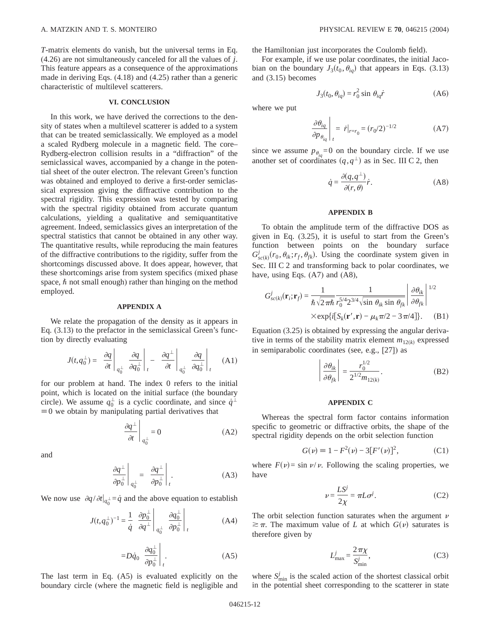*T*-matrix elements do vanish, but the universal terms in Eq. (4.26) are not simultaneously canceled for all the values of *j*. This feature appears as a consequence of the approximations made in deriving Eqs. (4.18) and (4.25) rather than a generic characteristic of multilevel scatterers.

## **VI. CONCLUSION**

In this work, we have derived the corrections to the density of states when a multilevel scatterer is added to a system that can be treated semiclassically. We employed as a model a scaled Rydberg molecule in a magnetic field. The core– Rydberg-electron collision results in a "diffraction" of the semiclassical waves, accompanied by a change in the potential sheet of the outer electron. The relevant Green's function was obtained and employed to derive a first-order semiclassical expression giving the diffractive contribution to the spectral rigidity. This expression was tested by comparing with the spectral rigidity obtained from accurate quantum calculations, yielding a qualitative and semiquantitative agreement. Indeed, semiclassics gives an interpretation of the spectral statistics that cannot be obtained in any other way. The quantitative results, while reproducing the main features of the diffractive contributions to the rigidity, suffer from the shortcomings discussed above. It does appear, however, that these shortcomings arise from system specifics (mixed phase space,  $\hbar$  not small enough) rather than hinging on the method employed.

### **APPENDIX A**

We relate the propagation of the density as it appears in Eq. (3.13) to the prefactor in the semiclassical Green's function by directly evaluating

$$
J(t,q_0^{\perp}) = \frac{\partial q}{\partial t}\bigg|_{q_0^{\perp}} \frac{\partial q}{\partial q_0^{\perp}}\bigg|_{t} - \frac{\partial q^{\perp}}{\partial t}\bigg|_{q_0^{\perp}} \frac{\partial q}{\partial q_0^{\perp}}\bigg|_{t}
$$
 (A1)

for our problem at hand. The index 0 refers to the initial point, which is located on the initial surface (the boundary circle). We assume  $q_0^{\perp}$  is a cyclic coordinate, and since  $\dot{q}^{\perp}$  $\equiv 0$  we obtain by manipulating partial derivatives that

$$
\left. \frac{\partial q^{\perp}}{\partial t} \right|_{q_0^{\perp}} = 0 \tag{A2}
$$

and

$$
\left. \frac{\partial q^{\perp}}{\partial p_0^{\perp}} \right|_{q_0^{\perp}} = \left. \frac{\partial q^{\perp}}{\partial p_0^{\perp}} \right|_{t}.
$$
\n(A3)

We now use  $\partial q / \partial t |_{q_0^{\perp}} = \dot{q}$  and the above equation to establish

$$
J(t, q_0^{\perp})^{-1} = \frac{1}{\dot{q}} \left. \frac{\partial p_0^{\perp}}{\partial q^{\perp}} \right|_{q_0^{\perp}} \left. \frac{\partial q_0^{\perp}}{\partial p_0^{\perp}} \right|_{t}
$$
 (A4)

$$
=D\dot{q}_0 \left.\frac{\partial q_0^{\perp}}{\partial p_0^{\perp}}\right|_t.
$$
 (A5)

The last term in Eq. (A5) is evaluated explicitly on the boundary circle (where the magnetic field is negligible and the Hamiltonian just incorporates the Coulomb field).

For example, if we use polar coordinates, the initial Jacobian on the boundary  $J_3(t_0, \theta_{ia})$  that appears in Eqs. (3.13) and (3.15) becomes

$$
J_3(t_0, \theta_{iq}) = r_0^2 \sin \theta_{iq} \dot{r}
$$
 (A6)

where we put

$$
\left. \frac{\partial \theta_{iq}}{\partial p_{\theta_{iq}}} \right|_{t} = \left. \dot{r} \right|_{r=r_0} = (r_0/2)^{-1/2} \tag{A7}
$$

since we assume  $p_{\theta_{iq}}=0$  on the boundary circle. If we use another set of coordinates  $(q, q^{\perp})$  as in Sec. III C 2, then

$$
\dot{q} = \frac{\partial(q, q^{\perp})}{\partial(r, \theta)} \dot{r}.
$$
 (A8)

## **APPENDIX B**

To obtain the amplitude term of the diffractive DOS as given in Eq. (3.25), it is useful to start from the Green's function between points on the boundary surface  $G_{sc(k)}^j$  ( $r_0$ ,  $\theta_{ik}$ ;  $r_f$ ,  $\theta_{fk}$ ). Using the coordinate system given in Sec. III C 2 and transforming back to polar coordinates, we have, using Eqs. (A7) and (A8),

$$
G_{sc(k)}^j(\mathbf{r}_i; \mathbf{r}_f) = \frac{1}{\hbar \sqrt{2\pi\hbar}} \frac{1}{r_0^{5/4} 2^{3/4} \sqrt{\sin \theta_{ik} \sin \theta_{fk}}} \left| \frac{\partial \theta_{ik}}{\partial \theta_{fk}} \right|^{1/2}
$$
  
× $\exp\{i[S_k(\mathbf{r}', \mathbf{r}) - \mu_k \pi/2 - 3\pi/4]\}$ . (B1)

Equation (3.25) is obtained by expressing the angular derivative in terms of the stability matrix element  $m_{12(k)}$  expressed in semiparabolic coordinates (see, e.g., [27]) as

$$
\left| \frac{\partial \theta_{ik}}{\partial \theta_{fk}} \right| = \frac{r_0^{1/2}}{2^{1/2} m_{12(k)}}.
$$
 (B2)

### **APPENDIX C**

Whereas the spectral form factor contains information specific to geometric or diffractive orbits, the shape of the spectral rigidity depends on the orbit selection function

$$
G(\nu) \equiv 1 - F^2(\nu) - 3[F'(\nu)]^2,
$$
 (C1)

where  $F(v) = \sin v/v$ . Following the scaling properties, we have

$$
\nu = \frac{LS^j}{2\chi} = \pi L \sigma^j.
$$
 (C2)

The orbit selection function saturates when the argument  $\nu$  $\gtrsim \pi$ . The maximum value of *L* at which  $G(v)$  saturates is therefore given by

$$
L_{\text{max}}^j = \frac{2\pi\chi}{S_{\text{min}}^j},\tag{C3}
$$

where  $S_{\text{min}}^j$  is the scaled action of the shortest classical orbit in the potential sheet corresponding to the scatterer in state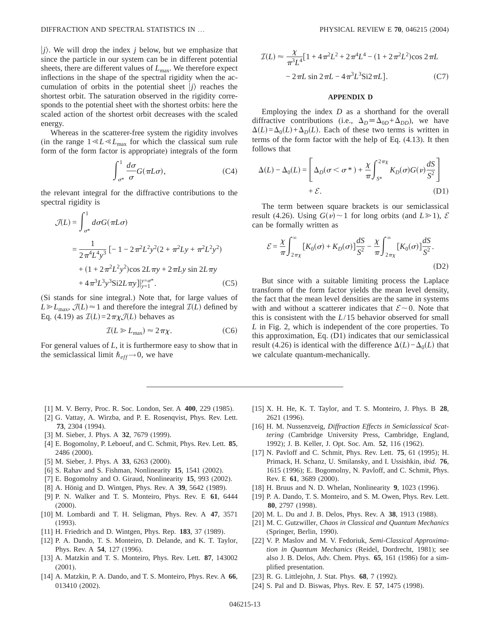$|j\rangle$ . We will drop the index *j* below, but we emphasize that since the particle in our system can be in different potential sheets, there are different values of  $L_{\text{max}}$ . We therefore expect inflections in the shape of the spectral rigidity when the accumulation of orbits in the potential sheet  $|j\rangle$  reaches the shortest orbit. The saturation observed in the rigidity corresponds to the potential sheet with the shortest orbits: here the scaled action of the shortest orbit decreases with the scaled energy.

Whereas in the scatterer-free system the rigidity involves (in the range  $1 \ll L \ll L_{\text{max}}$  for which the classical sum rule form of the form factor is appropriate) integrals of the form

$$
\int_{\sigma^*}^1 \frac{d\sigma}{\sigma} G(\pi L \sigma),\tag{C4}
$$

the relevant integral for the diffractive contributions to the spectral rigidity is

$$
\mathcal{J}(L) = \int_{\sigma^*}^1 d\sigma G(\pi L \sigma)
$$
  
= 
$$
\frac{1}{2\pi^4 L^4 y^3} [-1 - 2\pi^2 L^2 y^2 (2 + \pi^2 L y + \pi^2 L^2 y^2)
$$
  
+ 
$$
(1 + 2\pi^2 L^2 y^2) \cos 2L \pi y + 2\pi L y \sin 2L \pi y
$$
  
+ 
$$
4\pi^3 L^3 y^3 \text{Si2} L \pi y ]_{y=1}^{\mid y=\sigma^*}.
$$
 (C5)

(Si stands for sine integral.) Note that, for large values of  $L \gg L_{\text{max}}$ ,  $\mathcal{J}(L) \approx 1$  and therefore the integral  $\mathcal{I}(L)$  defined by Eq. (4.19) as  $\mathcal{I}(L) = 2\pi\chi\mathcal{J}(L)$  behaves as

$$
\mathcal{I}(L \gg L_{\text{max}}) \approx 2\pi \chi. \tag{C6}
$$

For general values of *L*, it is furthermore easy to show that in the semiclassical limit  $\hbar_{eff} \rightarrow 0$ , we have

$$
\mathcal{I}(L) \approx \frac{\chi}{\pi^3 L^4} [1 + 4\pi^2 L^2 + 2\pi^4 L^4 - (1 + 2\pi^2 L^2) \cos 2\pi L - 2\pi L \sin 2\pi L - 4\pi^3 L^3 S i 2\pi L].
$$
 (C7)

### **APPENDIX D**

Employing the index *D* as a shorthand for the overall diffractive contributions (i.e.,  $\Delta_D \equiv \Delta_{0D} + \Delta_{DD}$ ), we have  $\Delta(L) = \Delta_0(L) + \Delta_D(L)$ . Each of these two terms is written in terms of the form factor with the help of Eq. (4.13). It then follows that

$$
\Delta(L) - \Delta_0(L) = \left[ \Delta_D(\sigma < \sigma^*) + \frac{\chi}{\pi} \int_{S^*}^{2\pi\chi} K_D(\sigma) G(\nu) \frac{dS}{S^2} \right] + \mathcal{E}.\tag{D1}
$$

The term between square brackets is our semiclassical result (4.26). Using  $G(v) \sim 1$  for long orbits (and  $L \ge 1$ ),  $\mathcal E$ can be formally written as

$$
\mathcal{E} = \frac{\chi}{\pi} \int_{2\pi\chi}^{\infty} \left[ K_0(\sigma) + K_D(\sigma) \right] \frac{dS}{S^2} - \frac{\chi}{\pi} \int_{2\pi\chi}^{\infty} \left[ K_0(\sigma) \right] \frac{dS}{S^2}.
$$
\n(D2)

But since with a suitable limiting process the Laplace transform of the form factor yields the mean level density, the fact that the mean level densities are the same in systems with and without a scatterer indicates that  $\mathcal{E} \sim 0$ . Note that this is consistent with the *L*/15 behavior observed for small *L* in Fig. 2, which is independent of the core properties. To this approximation, Eq. (D1) indicates that our semiclassical result (4.26) is identical with the difference  $\Delta(L) - \Delta_0(L)$  that we calculate quantum-mechanically.

- [1] M. V. Berry, Proc. R. Soc. London, Ser. A **400**, 229 (1985).
- [2] G. Vattay, A. Wirzba, and P. E. Rosenqvist, Phys. Rev. Lett. **73**, 2304 (1994).
- [3] M. Sieber, J. Phys. A **32**, 7679 (1999).
- [4] E. Bogomolny, P. Leboeuf, and C. Schmit, Phys. Rev. Lett. **85**, 2486 (2000).
- [5] M. Sieber, J. Phys. A **33**, 6263 (2000).
- [6] S. Rahav and S. Fishman, Nonlinearity **15**, 1541 (2002).
- [7] E. Bogomolny and O. Giraud, Nonlinearity **15**, 993 (2002).
- [8] A. Hönig and D. Wintgen, Phys. Rev. A **39**, 5642 (1989).
- [9] P. N. Walker and T. S. Monteiro, Phys. Rev. E **61**, 6444 (2000).
- [10] M. Lombardi and T. H. Seligman, Phys. Rev. A **47**, 3571 (1993).
- [11] H. Friedrich and D. Wintgen, Phys. Rep. **183**, 37 (1989).
- [12] P. A. Dando, T. S. Monteiro, D. Delande, and K. T. Taylor, Phys. Rev. A **54**, 127 (1996).
- [13] A. Matzkin and T. S. Monteiro, Phys. Rev. Lett. **87**, 143002 (2001).
- [14] A. Matzkin, P. A. Dando, and T. S. Monteiro, Phys. Rev. A **66**, 013410 (2002).
- [15] X. H. He, K. T. Taylor, and T. S. Monteiro, J. Phys. B **28**, 2621 (1996).
- [16] H. M. Nussenzveig, *Diffraction Effects in Semiclassical Scattering* (Cambridge University Press, Cambridge, England, 1992); J. B. Keller, J. Opt. Soc. Am. **52**, 116 (1962).
- [17] N. Pavloff and C. Schmit, Phys. Rev. Lett. **75**, 61 (1995); H. Primack, H. Schanz, U. Smilansky, and I. Ussishkin, *ibid.* **76**, 1615 (1996); E. Bogomolny, N. Pavloff, and C. Schmit, Phys. Rev. E **61**, 3689 (2000).
- [18] H. Bruus and N. D. Whelan, Nonlinearity **9**, 1023 (1996).
- [19] P. A. Dando, T. S. Monteiro, and S. M. Owen, Phys. Rev. Lett. **80**, 2797 (1998).
- [20] M. L. Du and J. B. Delos, Phys. Rev. A **38**, 1913 (1988).
- [21] M. C. Gutzwiller, *Chaos in Classical and Quantum Mechanics* (Springer, Berlin, 1990).
- [22] V. P. Maslov and M. V. Fedoriuk, *Semi-Classical Approximation in Quantum Mechanics* (Reidel, Dordrecht, 1981); see also J. B. Delos, Adv. Chem. Phys. **65**, 161 (1986) for a simplified presentation.
- [23] R. G. Littlejohn, J. Stat. Phys. **68**, 7 (1992).
- [24] S. Pal and D. Biswas, Phys. Rev. E **57**, 1475 (1998).